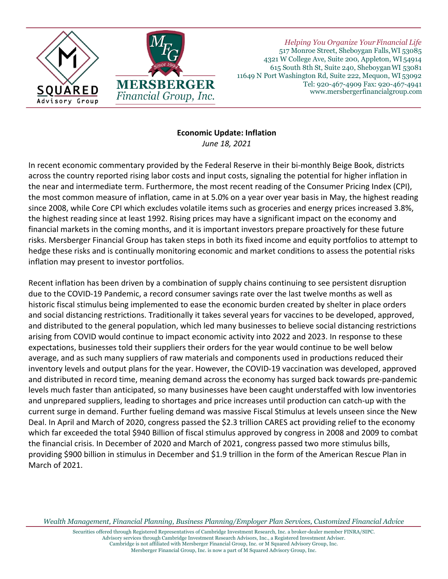

*Helping You Organize YourFinancial Life* 517 Monroe Street, Sheboygan Falls,WI 53085 4321 W College Ave, Suite 200, Appleton, WI 54914 615 South 8th St, Suite 240, SheboyganWI 53081 11649 N Port Washington Rd, Suite 222, Mequon, WI 53092 Tel: 920-467-4909 Fax: 920-467-4941 www.mersbergerfinancialgroup.com

## **Economic Update: Inflation**

*June 18, 2021*

In recent economic commentary provided by the Federal Reserve in their bi-monthly Beige Book, districts across the country reported rising labor costs and input costs, signaling the potential for higher inflation in the near and intermediate term. Furthermore, the most recent reading of the Consumer Pricing Index (CPI), the most common measure of inflation, came in at 5.0% on a year over year basis in May, the highest reading since 2008, while Core CPI which excludes volatile items such as groceries and energy prices increased 3.8%, the highest reading since at least 1992. Rising prices may have a significant impact on the economy and financial markets in the coming months, and it is important investors prepare proactively for these future risks. Mersberger Financial Group has taken steps in both its fixed income and equity portfolios to attempt to hedge these risks and is continually monitoring economic and market conditions to assess the potential risks inflation may present to investor portfolios.

Recent inflation has been driven by a combination of supply chains continuing to see persistent disruption due to the COVID-19 Pandemic, a record consumer savings rate over the last twelve months as well as historic fiscal stimulus being implemented to ease the economic burden created by shelter in place orders and social distancing restrictions. Traditionally it takes several years for vaccines to be developed, approved, and distributed to the general population, which led many businesses to believe social distancing restrictions arising from COVID would continue to impact economic activity into 2022 and 2023. In response to these expectations, businesses told their suppliers their orders for the year would continue to be well below average, and as such many suppliers of raw materials and components used in productions reduced their inventory levels and output plans for the year. However, the COVID-19 vaccination was developed, approved and distributed in record time, meaning demand across the economy has surged back towards pre-pandemic levels much faster than anticipated, so many businesses have been caught understaffed with low inventories and unprepared suppliers, leading to shortages and price increases until production can catch-up with the current surge in demand. Further fueling demand was massive Fiscal Stimulus at levels unseen since the New Deal. In April and March of 2020, congress passed the \$2.3 trillion CARES act providing relief to the economy which far exceeded the total \$940 Billion of fiscal stimulus approved by congress in 2008 and 2009 to combat the financial crisis. In December of 2020 and March of 2021, congress passed two more stimulus bills, providing \$900 billion in stimulus in December and \$1.9 trillion in the form of the American Rescue Plan in March of 2021.

*Wealth Management, Financial Planning, Business Planning/Employer Plan Services, Customized Financial Advice*

Securities offered through Registered Representatives of Cambridge Investment Research, Inc. a broker-dealer member FINRA/SIPC. Advisory services through Cambridge Investment Research Advisors, Inc., a Registered Investment Adviser. Cambridge is not affiliated with Mersberger Financial Group, Inc. or M Squared Advisory Group, Inc. Mersberger Financial Group, Inc. is now a part of M Squared Advisory Group, Inc.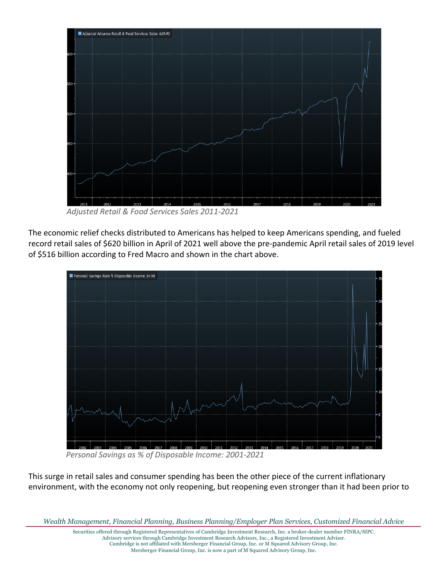

 *Adjusted Retail & Food Services Sales 2011-2021*

The economic relief checks distributed to Americans has helped to keep Americans spending, and fueled record retail sales of \$620 billion in April of 2021 well above the pre-pandemic April retail sales of 2019 level of \$516 billion according to Fred Macro and shown in the chart above.



 *Personal Savings as % of Disposable Income: 2001-2021*

This surge in retail sales and consumer spending has been the other piece of the current inflationary environment, with the economy not only reopening, but reopening even stronger than it had been prior to

*Wealth Management, Financial Planning, Business Planning/Employer Plan Services, Customized Financial Advice*

Securities offered through Registered Representatives of Cambridge Investment Research, Inc. a broker-dealer member FINRA/SIPC. Advisory services through Cambridge Investment Research Advisors, Inc., a Registered Investment Adviser. Cambridge is not affiliated with Mersberger Financial Group, Inc. or M Squared Advisory Group, Inc.

Mersberger Financial Group, Inc. is now a part of M Squared Advisory Group, Inc.